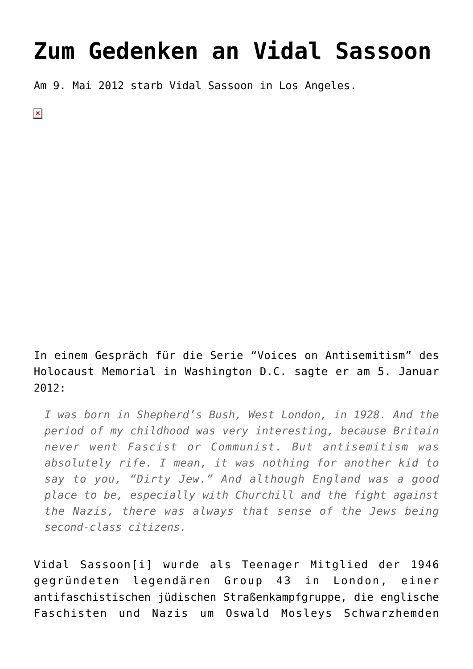## **[Zum Gedenken an Vidal Sassoon](https://www.clemensheni.net/zum-gedenken-an-vidal-sassoon/)**

Am 9. Mai 2012 starb Vidal Sassoon in Los Angeles.

 $\pmb{\times}$ 

In einem Gespräch für die Serie "[Voices on Antisemitism](http://www.ushmm.org/museum/exhibit/focus/antisemitism/voices/transcript/?content=20120105)" des Holocaust Memorial in Washington D.C. sagte er am 5. Januar 2012:

*I was born in Shepherd's Bush, West London, in 1928. And the period of my childhood was very interesting, because Britain never went Fascist or Communist. But antisemitism was absolutely rife. I mean, it was nothing for another kid to say to you, "Dirty Jew." And although England was a good place to be, especially with Churchill and the fight against the Nazis, there was always that sense of the Jews being second-class citizens.*

Vidal Sassoon[\[i\]](#page--1-0) wurde als Teenager Mitglied der 1946 gegründeten legendären Group 43 in London, einer antifaschistischen jüdischen Straßenkampfgruppe, die englische Faschisten und Nazis um Oswald Mosleys Schwarzhemden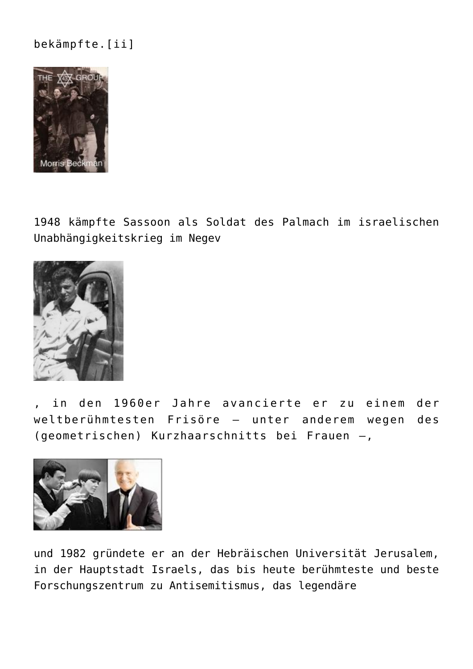## bekämpfte.[\[ii\]](#page--1-0)



[1948 kämpfte Sassoon als Soldat](http://israelvets.com/pictorialhist_acquiring_arms.html) des Palmach im israelischen Unabhängigkeitskrieg im Negev



, in den 1960er Jahre avancierte er zu einem der weltberühmtesten Frisöre – unter anderem wegen des (geometrischen) Kurzhaarschnitts bei Frauen –,



und 1982 gründete er an der Hebräischen Universität Jerusalem, in der Hauptstadt Israels, das bis heute berühmteste und beste Forschungszentrum zu Antisemitismus, das [legendäre](http://sicsa.huji.ac.il/)